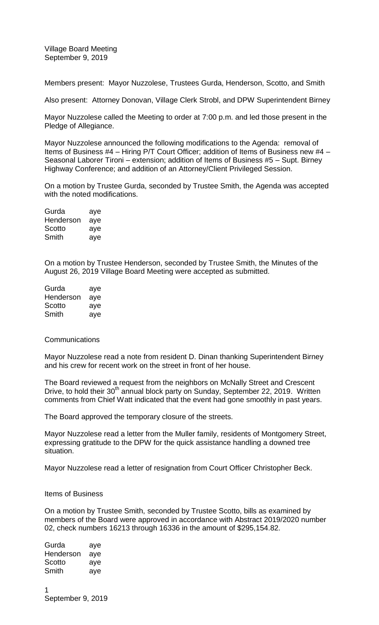Village Board Meeting September 9, 2019

Members present: Mayor Nuzzolese, Trustees Gurda, Henderson, Scotto, and Smith

Also present: Attorney Donovan, Village Clerk Strobl, and DPW Superintendent Birney

Mayor Nuzzolese called the Meeting to order at 7:00 p.m. and led those present in the Pledge of Allegiance.

Mayor Nuzzolese announced the following modifications to the Agenda: removal of Items of Business #4 – Hiring P/T Court Officer; addition of Items of Business new #4 – Seasonal Laborer Tironi – extension; addition of Items of Business #5 – Supt. Birney Highway Conference; and addition of an Attorney/Client Privileged Session.

On a motion by Trustee Gurda, seconded by Trustee Smith, the Agenda was accepted with the noted modifications.

| aye |
|-----|
| aye |
| aye |
| aye |
|     |

On a motion by Trustee Henderson, seconded by Trustee Smith, the Minutes of the August 26, 2019 Village Board Meeting were accepted as submitted.

| Gurda     | aye |
|-----------|-----|
| Henderson | aye |
| Scotto    | aye |
| Smith     | aye |

## **Communications**

Mayor Nuzzolese read a note from resident D. Dinan thanking Superintendent Birney and his crew for recent work on the street in front of her house.

The Board reviewed a request from the neighbors on McNally Street and Crescent Drive, to hold their 30<sup>th</sup> annual block party on Sunday, September 22, 2019. Written comments from Chief Watt indicated that the event had gone smoothly in past years.

The Board approved the temporary closure of the streets.

Mayor Nuzzolese read a letter from the Muller family, residents of Montgomery Street, expressing gratitude to the DPW for the quick assistance handling a downed tree situation.

Mayor Nuzzolese read a letter of resignation from Court Officer Christopher Beck.

## Items of Business

On a motion by Trustee Smith, seconded by Trustee Scotto, bills as examined by members of the Board were approved in accordance with Abstract 2019/2020 number 02, check numbers 16213 through 16336 in the amount of \$295,154.82.

Gurda aye Henderson aye Scotto aye Smith aye

1 September 9, 2019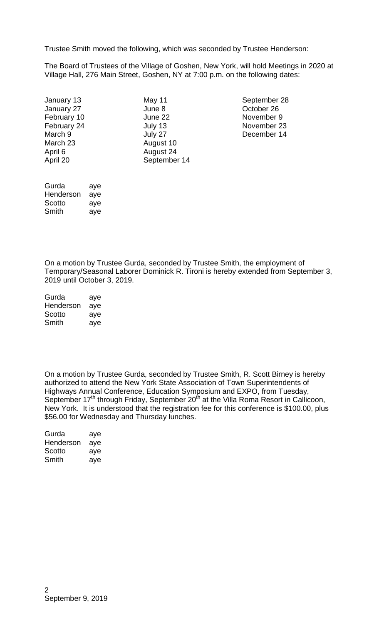Trustee Smith moved the following, which was seconded by Trustee Henderson:

The Board of Trustees of the Village of Goshen, New York, will hold Meetings in 2020 at Village Hall, 276 Main Street, Goshen, NY at 7:00 p.m. on the following dates:

| January 13  |
|-------------|
| January 27  |
| February 10 |
| February 24 |
| March 9     |
| March 23    |
| April 6     |
| April 20    |
|             |

June 8 Cotober 26<br>
June 22 Movember 9 August 10 August 24 September 14

May 11 September 28 November 9 **July 13** November 23 July 27 December 14

Gurda aye Henderson aye Scotto aye Smith aye

On a motion by Trustee Gurda, seconded by Trustee Smith, the employment of Temporary/Seasonal Laborer Dominick R. Tironi is hereby extended from September 3, 2019 until October 3, 2019.

| Gurda     | aye |
|-----------|-----|
| Henderson | aye |
| Scotto    | aye |
| Smith     | aye |

On a motion by Trustee Gurda, seconded by Trustee Smith, R. Scott Birney is hereby authorized to attend the New York State Association of Town Superintendents of Highways Annual Conference, Education Symposium and EXPO, from Tuesday, September 17<sup>th</sup> through Friday, September 20<sup>th</sup> at the Villa Roma Resort in Callicoon, New York. It is understood that the registration fee for this conference is \$100.00, plus \$56.00 for Wednesday and Thursday lunches.

| Gurda     | aye |
|-----------|-----|
| Henderson | aye |
| Scotto    | aye |
| Smith     | aye |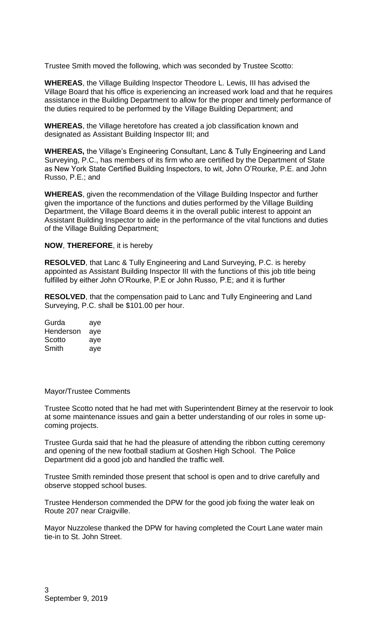Trustee Smith moved the following, which was seconded by Trustee Scotto:

**WHEREAS**, the Village Building Inspector Theodore L. Lewis, III has advised the Village Board that his office is experiencing an increased work load and that he requires assistance in the Building Department to allow for the proper and timely performance of the duties required to be performed by the Village Building Department; and

**WHEREAS**, the Village heretofore has created a job classification known and designated as Assistant Building Inspector III; and

**WHEREAS,** the Village's Engineering Consultant, Lanc & Tully Engineering and Land Surveying, P.C., has members of its firm who are certified by the Department of State as New York State Certified Building Inspectors, to wit, John O'Rourke, P.E. and John Russo, P.E.; and

**WHEREAS**, given the recommendation of the Village Building Inspector and further given the importance of the functions and duties performed by the Village Building Department, the Village Board deems it in the overall public interest to appoint an Assistant Building Inspector to aide in the performance of the vital functions and duties of the Village Building Department;

## **NOW**, **THEREFORE**, it is hereby

**RESOLVED**, that Lanc & Tully Engineering and Land Surveying, P.C. is hereby appointed as Assistant Building Inspector III with the functions of this job title being fulfilled by either John O'Rourke, P.E or John Russo, P.E; and it is further

**RESOLVED**, that the compensation paid to Lanc and Tully Engineering and Land Surveying, P.C. shall be \$101.00 per hour.

| Gurda     | aye |
|-----------|-----|
| Henderson | aye |
| Scotto    | aye |
| Smith     | aye |

## Mayor/Trustee Comments

Trustee Scotto noted that he had met with Superintendent Birney at the reservoir to look at some maintenance issues and gain a better understanding of our roles in some upcoming projects.

Trustee Gurda said that he had the pleasure of attending the ribbon cutting ceremony and opening of the new football stadium at Goshen High School. The Police Department did a good job and handled the traffic well.

Trustee Smith reminded those present that school is open and to drive carefully and observe stopped school buses.

Trustee Henderson commended the DPW for the good job fixing the water leak on Route 207 near Craigville.

Mayor Nuzzolese thanked the DPW for having completed the Court Lane water main tie-in to St. John Street.